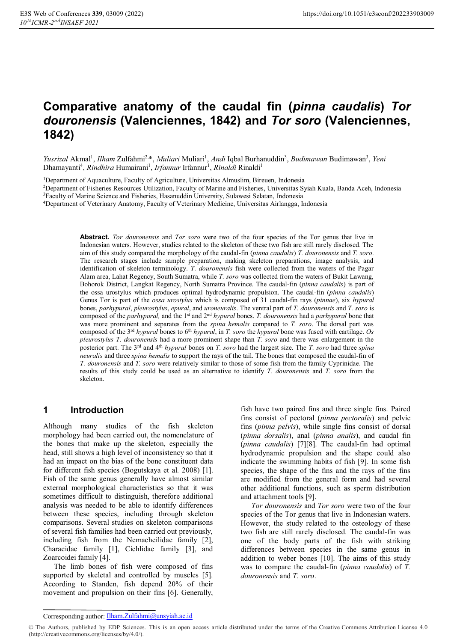# **Comparative anatomy of the caudal fin (***pinna caudalis***)** *Tor douronensis* **(Valenciennes, 1842) and** *Tor soro* **(Valenciennes, 1842)**

Yusrizal Akmal<sup>1</sup>, *Ilham Z*ulfahmi<sup>2,\*</sup>, *Muliari* Muliari<sup>1</sup>, *Andi* Iqbal Burhanuddin<sup>3</sup>, *Budimawan* Budimawan<sup>3</sup>, Yeni Dhamayanti<sup>4</sup>, *Rindhira* Humairani<sup>1</sup>, *Irfannur* Irfannur<sup>1</sup>, *Rinaldi* Rinaldi<sup>1</sup>

1Department of Aquaculture, Faculty of Agriculture, Universitas Almuslim, Bireuen, Indonesia

2Department of Fisheries Resources Utilization, Faculty of Marine and Fisheries, Universitas Syiah Kuala, Banda Aceh, Indonesia 3Faculty of Marine Science and Fisheries, Hasanuddin University, Sulawesi Selatan, Indonesia

4Department of Veterinary Anatomy, Faculty of Veterinary Medicine, Universitas Airlangga, Indonesia

**Abstract.** *Tor douronensis* and *Tor soro* were two of the four species of the Tor genus that live in Indonesian waters. However, studies related to the skeleton of these two fish are still rarely disclosed. The aim of this study compared the morphology of the caudal-fin (*pinna caudalis*) *T. douronensis* and *T. soro*. The research stages include sample preparation, making skeleton preparations, image analysis, and identification of skeleton terminology. *T. douronensis* fish were collected from the waters of the Pagar Alam area, Lahat Regency, South Sumatra, while *T. soro* was collected from the waters of Bukit Lawang, Bohorok District, Langkat Regency, North Sumatra Province. The caudal-fin (*pinna caudalis*) is part of the ossa urostylus which produces optimal hydrodynamic propulsion. The caudal-fin (*pinna caudalis*) Genus Tor is part of the *ossa urostylus* which is composed of 31 caudal-fin rays (*pinnae*), six *hypural* bones, *parhypural*, *pleurostylus*, *epural*, and *uroneuralis*. The ventral part of *T. douronensis* and *T. soro* is composed of the *parhypural,* and the 1st and 2nd *hypural* bones. *T. douronensis* had a *parhypural* bone that was more prominent and separates from the *spina hemalis* compared to *T. soro*. The dorsal part was composed of the 3<sup>rd</sup> *hypural* bones to 6<sup>th</sup> *hypural*, in *T. soro* the *hypural* bone was fused with cartilage. Os *pleurostylus T. douronensis* had a more prominent shape than *T. soro* and there was enlargement in the posterior part. The 3rd and 4th *hypural* bones on *T. soro* had the largest size. The *T. soro* had three *spina neuralis* and three *spina hemalis* to support the rays of the tail. The bones that composed the caudal-fin of *T. douronensis* and *T. soro* were relatively similar to those of some fish from the family Cyprinidae. The results of this study could be used as an alternative to identify *T. douronensis* and *T. soro* from the skeleton.

#### **1 Introduction**

Although many studies of the fish skeleton morphology had been carried out, the nomenclature of the bones that make up the skeleton, especially the head, still shows a high level of inconsistency so that it had an impact on the bias of the bone constituent data for different fish species (Bogutskaya et al. 2008) [1]. Fish of the same genus generally have almost similar external morphological characteristics so that it was sometimes difficult to distinguish, therefore additional analysis was needed to be able to identify differences between these species, including through skeleton comparisons. Several studies on skeleton comparisons of several fish families had been carried out previously, including fish from the Nemacheilidae family [2], Characidae family [1], Cichlidae family [3], and Zoarcoidei family [4].

The limb bones of fish were composed of fins supported by skeletal and controlled by muscles [5]. According to Standen, fish depend 20% of their movement and propulsion on their fins [6]. Generally, fish have two paired fins and three single fins. Paired fins consist of pectoral (*pinna pectoralis*) and pelvic fins (*pinna pelvis*), while single fins consist of dorsal (*pinna dorsalis*), anal (*pinna analis*), and caudal fin (*pinna caudalis*) [7][8]. The caudal-fin had optimal hydrodynamic propulsion and the shape could also indicate the swimming habits of fish [9]. In some fish species, the shape of the fins and the rays of the fins are modified from the general form and had several other additional functions, such as sperm distribution and attachment tools [9].

*Tor douronensis* and *Tor soro* were two of the four species of the Tor genus that live in Indonesian waters. However, the study related to the osteology of these two fish are still rarely disclosed. The caudal-fin was one of the body parts of the fish with striking differences between species in the same genus in addition to weber bones [10]. The aims of this study was to compare the caudal-fin (*pinna caudalis*) of *T. douronensis* and *T. soro*.

Corresponding author: Ilham.Zulfahmi@unsyiah.ac.id

<sup>©</sup> The Authors, published by EDP Sciences. This is an open access article distributed under the terms of the Creative Commons Attribution License 4.0 (http://creativecommons.org/licenses/by/4.0/).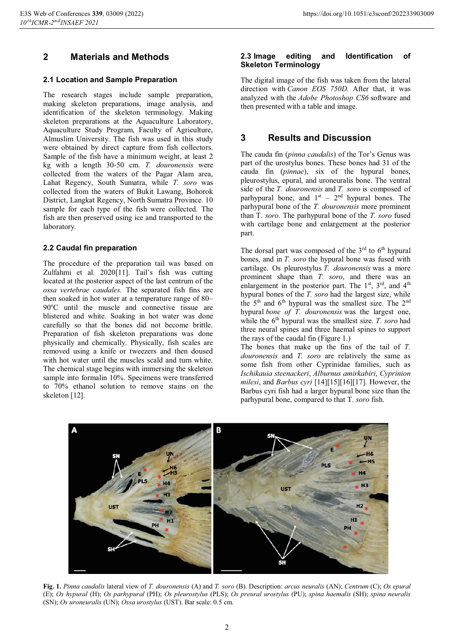## **2 Materials and Methods**

#### **2.1 Location and Sample Preparation**

The research stages include sample preparation, making skeleton preparations, image analysis, and identification of the skeleton terminology. Making skeleton preparations at the Aquaculture Laboratory, Aquaculture Study Program, Faculty of Agriculture, Almuslim University. The fish was used in this study were obtained by direct capture from fish collectors. Sample of the fish have a minimum weight, at least 2 kg with a length 30-50 cm. *T. douronensis* were collected from the waters of the Pagar Alam area, Lahat Regency, South Sumatra, while *T. soro* was collected from the waters of Bukit Lawang, Bohorok District, Langkat Regency, North Sumatra Province. 10 sample for each type of the fish were collected. The fish are then preserved using ice and transported to the laboratory.

#### **2.2 Caudal fin preparation**

The procedure of the preparation tail was based on Zulfahmi et al. 2020[11]. Tail's fish was cutting located at the posterior aspect of the last centrum of the *ossa vertebrae caudales.* The separated fish fins are then soaked in hot water at a temperature range of 80– 90°C until the muscle and connective tissue are blistered and white. Soaking in hot water was done carefully so that the bones did not become brittle. Preparation of fish skeleton preparations was done physically and chemically. Physically, fish scales are removed using a knife or tweezers and then doused with hot water until the muscles scald and turn white. The chemical stage begins with immersing the skeleton sample into formalin 10%. Specimens were transferred to 70% ethanol solution to remove stains on the skeleton [12].

#### **2.3 Image editing and Identification of Skeleton Terminology**

The digital image of the fish was taken from the lateral direction with *Canon EOS 750D.* After that, it was analyzed with the *Adobe Photoshop CS6* software and then presented with a table and image.

### **3 Results and Discussion**

The cauda fin (*pinna caudalis*) of the Tor's Genus was part of the urostylus bones. These bones had 31 of the cauda fin (*pinnae*), six of the hypural bones, pleurostylus, epural, and uroneuralis bone. The ventral side of the *T. douronensis* and *T. soro* is composed of parhypural bone, and  $1<sup>st</sup> - 2<sup>nd</sup>$  hypural bones. The parhypural bone of the *T. douronensis* more prominent than T. *soro*. The parhypural bone of the *T. soro* fused with cartilage bone and enlargement at the posterior part.

The dorsal part was composed of the  $3<sup>rd</sup>$  to  $6<sup>th</sup>$  hypural bones, and in *T. soro* the hypural bone was fused with cartilage. Os pleurostylus *T. douronensis* was a more prominent shape than *T. soro*, and there was an enlargement in the posterior part. The  $1<sup>st</sup>$ ,  $3<sup>rd</sup>$ , and  $4<sup>th</sup>$ hypural bones of the *T. soro* had the largest size, while the 5<sup>th</sup> and 6<sup>th</sup> hypural was the smallest size. The 2<sup>nd</sup> hypural *bone of T. douronensis* was the largest one, while the 6<sup>th</sup> hypural was the smallest size. *T. soro* had three neural spines and three haemal spines to support the rays of the caudal fin (Figure 1.)

The bones that make up the fins of the tail of *T. douronensis* and *T. soro* are relatively the same as some fish from other Cyprinidae families, such as *Ischikauia steenackeri*, *Alburnus amirkabiri*, *Cyprinion milesi*, and *Barbus cyri* [14][15][16][17]. However, the Barbus cyri fish had a larger hypural bone size than the parhypural bone, compared to that T. *soro* fish.



**Fig. 1.** *Pinna caudalis* lateral view of *T. douronensis* (A) and *T. soro* (B). Description: *arcus neuralis* (AN); *Centrum* (C); *Os epural*  (E); *Os hypural* (H); *Os parhypural* (PH); *Os pleurostylus* (PLS); *Os preural urostylus* (PU); *spina haemalis* (SH); *spina neuralis*  (SN); *Os uroneuralis* (UN); *Ossa urostylus* (UST). Bar scale: 0.5 cm.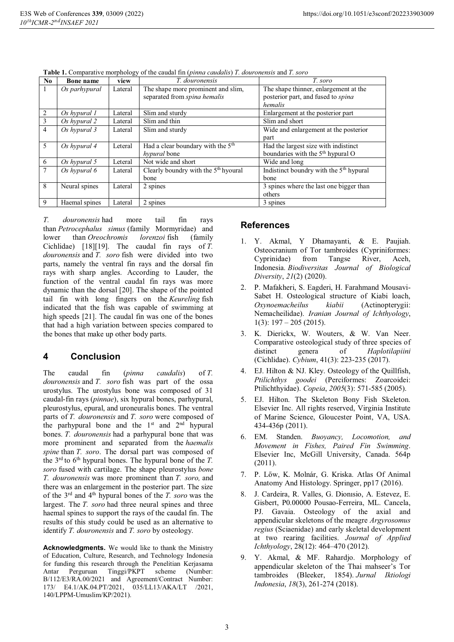| N <sub>0</sub> | Bone name     | ັ<br>view | T. douronensis                                   | T. soro                                             |
|----------------|---------------|-----------|--------------------------------------------------|-----------------------------------------------------|
| 1              | Os parhypural | Lateral   | The shape more prominent and slim,               | The shape thinner, enlargement at the               |
|                |               |           | separated from spina hemalis                     | posterior part, and fused to spina                  |
|                |               |           |                                                  | hemalis                                             |
| 2              | Os hypural 1  | Lateral   | Slim and sturdy                                  | Enlargement at the posterior part                   |
| 3              | Os hypural 2  | Lateral   | Slim and thin                                    | Slim and short                                      |
| $\overline{4}$ | Os hypural 3  | Lateral   | Slim and sturdy                                  | Wide and enlargement at the posterior               |
|                |               |           |                                                  | part                                                |
| 5              | Os hypural 4  | Leteral   | Had a clear boundary with the $5th$              | Had the largest size with indistinct                |
|                |               |           | <i>hypural</i> bone                              | boundaries with the $5th$ hypural O                 |
| 6              | Os hypural 5  | Leteral   | Not wide and short                               | Wide and long                                       |
|                | Os hypural 6  | Lateral   | Clearly boundry with the 5 <sup>th</sup> hyoural | Indistinct boundry with the 5 <sup>th</sup> hypural |
|                |               |           | bone                                             | bone                                                |
| 8              | Neural spines | Lateral   | 2 spines                                         | 3 spines where the last one bigger than             |
|                |               |           |                                                  | others                                              |
| 9              | Haemal spines | Lateral   | 2 spines                                         | 3 spines                                            |

**Table 1.** Comparative morphology of the caudal fin (*pinna caudalis*) *T. douronensis* and *T. soro*

*T. douronensis* had more tail fin rays than *Petrocephalus simus* (family Mormyridae) and lower than *Oreochromis lorenzoi* fish (family Cichlidae) [18][19]. The caudal fin rays of *T. douronensis* and *T. soro* fish were divided into two parts, namely the ventral fin rays and the dorsal fin rays with sharp angles. According to Lauder, the function of the ventral caudal fin rays was more dynamic than the dorsal [20]. The shape of the pointed tail fin with long fingers on the *Keureling* fish indicated that the fish was capable of swimming at high speeds [21]. The caudal fin was one of the bones that had a high variation between species compared to the bones that make up other body parts.

#### **4 Conclusion**

The caudal fin (*pinna caudalis*) of *T. douronensis* and *T. soro* fish was part of the ossa urostylus. The urostylus bone was composed of 31 caudal-fin rays (*pinnae*), six hypural bones, parhypural, pleurostylus, epural, and uroneuralis bones. The ventral parts of *T. douronensis* and *T. soro* were composed of the parhypural bone and the  $1<sup>st</sup>$  and  $2<sup>nd</sup>$  hypural bones. *T. douronensis* had a parhypural bone that was more prominent and separated from the *haemalis spine* than *T. soro*. The dorsal part was composed of the 3rd to 6th hypural bones. The hypural bone of the *T. soro* fused with cartilage. The shape pleurostylus *bone T. douronensis* was more prominent than *T. soro,* and there was an enlargement in the posterior part. The size of the 3rd and 4th hypural bones of the *T. soro* was the largest. The *T. soro* had three neural spines and three haemal spines to support the rays of the caudal fin. The results of this study could be used as an alternative to identify *T. douronensis* and *T. soro* by osteology.

**Acknowledgments.** We would like to thank the Ministry of Education, Culture, Research, and Technology Indonesia for funding this research through the Penelitian Kerjasama Antar Perguruan Tinggi/PKPT scheme (Number: B/112/E3/RA.00/2021 and Agreement/Contract Number: 173/ E4.1/AK.04.PT/2021, 035/LL13/AKA/LT /2021, 140/LPPM-Umuslim/KP/2021).

#### **References**

- 1. Y. Akmal, Y Dhamayanti, & E. Paujiah. Osteocranium of Tor tambroides (Cypriniformes: Cyprinidae) from Tangse River, Aceh, Indonesia. *Biodiversitas Journal of Biological Diversity*, *21*(2) (2020).
- 2. P. Mafakheri, S. Eagderi, H. Farahmand Mousavi-Sabet H. Osteological structure of Kiabi loach, *Oxynoemacheilus kiabii* (Actinopterygii: Nemacheilidae). *Iranian Journal of Ichthyology*, 1(3):  $197 - 205$  (2015).
- 3. K. Dierickx, W. Wouters, & W. Van Neer. Comparative osteological study of three species of distinct genera of *Haplotilapiini* (Cichlidae). *Cybium*, 41(3): 223-235 (2017).
- 4. EJ. Hilton & NJ. Kley. Osteology of the Quillfish, *Ptilichthys goodei* (Perciformes: Zoarcoidei: Ptilichthyidae). *Copeia*, *2005*(3): 571-585 (2005).
- 5. EJ. Hilton. The Skeleton Bony Fish Skeleton. Elsevier Inc. All rights reserved, Virginia Institute of Marine Science, Gloucester Point, VA, USA. 434-436p (2011).
- 6. EM. Standen. *Buoyancy, Locomotion, and Movement in Fishes, Paired Fin Swimming*. Elsevier Inc, McGill University, Canada. 564p (2011).
- 7. P. Lőw, K. Molnár, G. Kriska. Atlas Of Animal Anatomy And Histology. Springer, pp17 (2016).
- 8. J. Cardeira, R. Valles, G. Dionısio, A. Estevez, E. Gisbert, P0.00000 Pousao-Ferreira, ML. Cancela, PJ. Gavaia. Osteology of the axial and appendicular skeletons of the meagre *Argyrosomus regius* (Sciaenidae) and early skeletal development at two rearing facilities. *Journal of Applied Ichthyology*, 28(12): 464–470 (2012).
- 9. Y. Akmal, & MF. Rahardjo. Morphology of appendicular skeleton of the Thai mahseer's Tor tambroides (Bleeker, 1854). *Jurnal Iktiologi Indonesia*, *18*(3), 261-274 (2018).